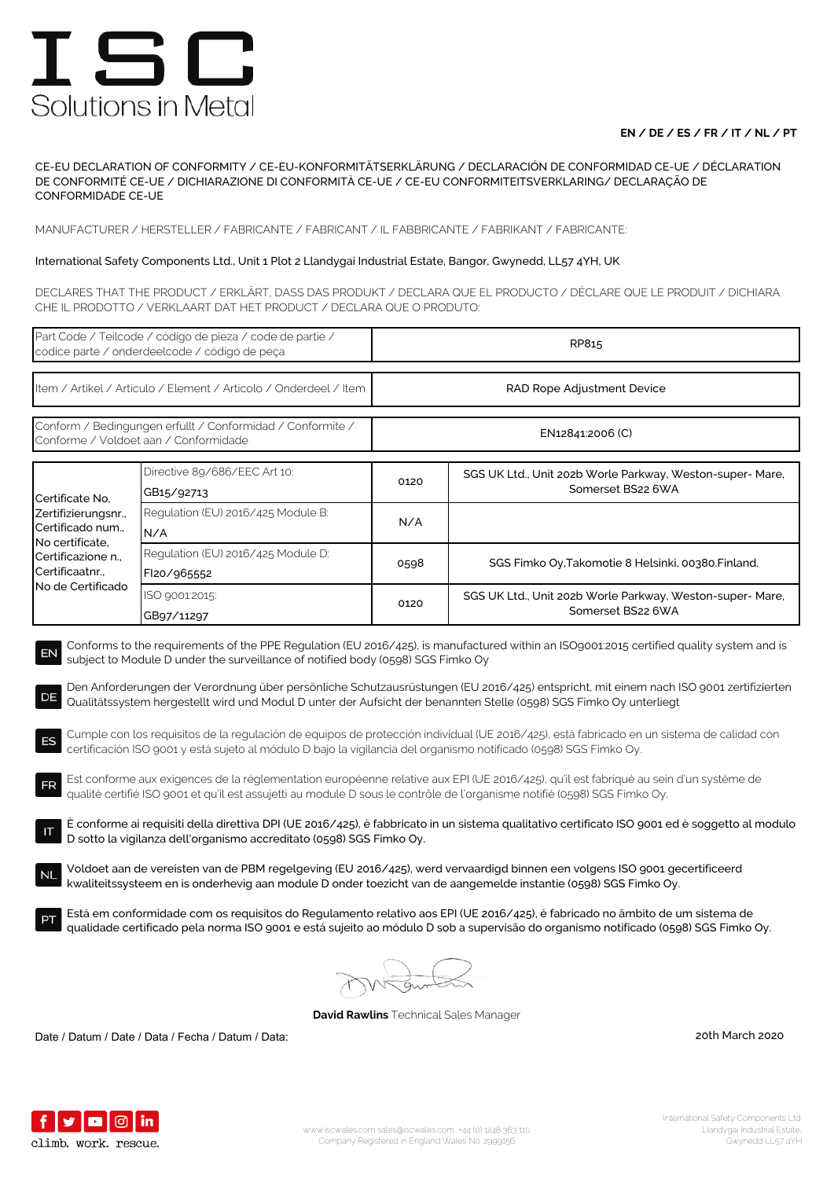## **EN / DE / ES / FR / IT / NL / PT**

CE-EU DECLARATION OF CONFORMITY / CE-EU-KONFORMITÄTSERKLÄRUNG / DECLARACIÓN DE CONFORMIDAD CE-UE / DÉCLARATION DE CONFORMITÉ CE-UE / DICHIARAZIONE DI CONFORMITÀ CE-UE / CE-EU CONFORMITEITSVERKLARING/ DECLARAÇÃO DE CONFORMIDADE CE-UE

MANUFACTURER / HERSTELLER / FABRICANTE / FABRICANT / IL FABBRICANTE / FABRIKANT / FABRICANTE:

### International Safety Components Ltd., Unit 1 Plot 2 Llandygai Industrial Estate, Bangor, Gwynedd, LL57 4YH, UK

DECLARES THAT THE PRODUCT / ERKLÄRT, DASS DAS PRODUKT / DECLARA QUE EL PRODUCTO / DÉCLARE QUE LE PRODUIT / DICHIARA CHE IL PRODOTTO / VERKLAART DAT HET PRODUCT / DECLARA QUE O PRODUTO:

| Part Code / Teilcode / código de pieza / code de partie /<br>codice parte / onderdeelcode / código de peça                                                                                                                                                                                                                                                                                                                                                                                                                                                                                                                                                                                                                                                                                                                                                                                                                                                                                                                                                                                                                                                                                                                                                                                                                                                                                                                                                                                                                                                                                                                                                                                                                                                                                                   |                                                   | RP815                      |                                                                                |  |  |
|--------------------------------------------------------------------------------------------------------------------------------------------------------------------------------------------------------------------------------------------------------------------------------------------------------------------------------------------------------------------------------------------------------------------------------------------------------------------------------------------------------------------------------------------------------------------------------------------------------------------------------------------------------------------------------------------------------------------------------------------------------------------------------------------------------------------------------------------------------------------------------------------------------------------------------------------------------------------------------------------------------------------------------------------------------------------------------------------------------------------------------------------------------------------------------------------------------------------------------------------------------------------------------------------------------------------------------------------------------------------------------------------------------------------------------------------------------------------------------------------------------------------------------------------------------------------------------------------------------------------------------------------------------------------------------------------------------------------------------------------------------------------------------------------------------------|---------------------------------------------------|----------------------------|--------------------------------------------------------------------------------|--|--|
| Item / Artikel / Articulo / Element / Articolo / Onderdeel / Item                                                                                                                                                                                                                                                                                                                                                                                                                                                                                                                                                                                                                                                                                                                                                                                                                                                                                                                                                                                                                                                                                                                                                                                                                                                                                                                                                                                                                                                                                                                                                                                                                                                                                                                                            |                                                   | RAD Rope Adjustment Device |                                                                                |  |  |
| Conform / Bedingungen erfullt / Conformidad / Conformite /<br>Conforme / Voldoet aan / Conformidade                                                                                                                                                                                                                                                                                                                                                                                                                                                                                                                                                                                                                                                                                                                                                                                                                                                                                                                                                                                                                                                                                                                                                                                                                                                                                                                                                                                                                                                                                                                                                                                                                                                                                                          |                                                   | EN12841:2006 (C)           |                                                                                |  |  |
| Certificate No.<br>Zertifizierungsnr.,<br>Certificado num.,<br>No certificate,<br>Certificazione n<br>Certificaatnr.,<br>No de Certificado                                                                                                                                                                                                                                                                                                                                                                                                                                                                                                                                                                                                                                                                                                                                                                                                                                                                                                                                                                                                                                                                                                                                                                                                                                                                                                                                                                                                                                                                                                                                                                                                                                                                   | Directive 89/686/EEC Art 10:<br>GB15/92713        | 0120                       | SGS UK Ltd., Unit 202b Worle Parkway, Weston-super- Mare,<br>Somerset BS22 6WA |  |  |
|                                                                                                                                                                                                                                                                                                                                                                                                                                                                                                                                                                                                                                                                                                                                                                                                                                                                                                                                                                                                                                                                                                                                                                                                                                                                                                                                                                                                                                                                                                                                                                                                                                                                                                                                                                                                              | Regulation (EU) 2016/425 Module B:<br>N/A         | N/A                        |                                                                                |  |  |
|                                                                                                                                                                                                                                                                                                                                                                                                                                                                                                                                                                                                                                                                                                                                                                                                                                                                                                                                                                                                                                                                                                                                                                                                                                                                                                                                                                                                                                                                                                                                                                                                                                                                                                                                                                                                              | Regulation (EU) 2016/425 Module D:<br>FI20/965552 | 0598                       | SGS Fimko Oy, Takomotie 8 Helsinki, 00380. Finland.                            |  |  |
|                                                                                                                                                                                                                                                                                                                                                                                                                                                                                                                                                                                                                                                                                                                                                                                                                                                                                                                                                                                                                                                                                                                                                                                                                                                                                                                                                                                                                                                                                                                                                                                                                                                                                                                                                                                                              | ISO 9001:2015:<br>GB97/11297                      | 0120                       | SGS UK Ltd., Unit 202b Worle Parkway, Weston-super- Mare,<br>Somerset BS22 6WA |  |  |
| Conforms to the requirements of the PPE Regulation (EU 2016/425), is manufactured within an ISO9001:2015 certified quality system and is<br>EN<br>subject to Module D under the surveillance of notified body (0598) SGS Fimko Oy<br>Den Anforderungen der Verordnung über persönliche Schutzausrüstungen (EU 2016/425) entspricht, mit einem nach ISO 9001 zertifizierten<br>DE<br>Qualitätssystem hergestellt wird und Modul D unter der Aufsicht der benannten Stelle (0598) SGS Fimko Oy unterliegt<br>Cumple con los requisitos de la regulación de equipos de protección individual (UE 2016/425), está fabricado en un sistema de calidad con<br>ES<br>certificación ISO 9001 y está sujeto al módulo D bajo la vigilancia del organismo notificado (0598) SGS Fimko Oy.<br>Est conforme aux exigences de la réglementation européenne relative aux EPI (UE 2016/425), qu'il est fabriqué au sein d'un système de<br>FR<br>qualité certifié ISO 9001 et qu'il est assujetti au module D sous le contrôle de l'organisme notifié (0598) SGS Fimko Oy.<br>È conforme ai requisiti della direttiva DPI (UE 2016/425), è fabbricato in un sistema qualitativo certificato ISO 9001 ed è soggetto al modulo<br>D sotto la vigilanza dell'organismo accreditato (0598) SGS Fimko Oy.<br>Voldoet aan de vereisten van de PBM regelgeving (EU 2016/425), werd vervaardigd binnen een volgens ISO 9001 gecertificeerd<br>kwaliteitssysteem en is onderhevig aan module D onder toezicht van de aangemelde instantie (0598) SGS Fimko Oy.<br>Está em conformidade com os requisitos do Regulamento relativo aos EPI (UE 2016/425), é fabricado no âmbito de um sistema de<br>qualidade certificado pela norma ISO 9001 e está sujeito ao módulo D sob a supervisão do organismo notificado (0598) SGS Fimko Oy. |                                                   |                            |                                                                                |  |  |
|                                                                                                                                                                                                                                                                                                                                                                                                                                                                                                                                                                                                                                                                                                                                                                                                                                                                                                                                                                                                                                                                                                                                                                                                                                                                                                                                                                                                                                                                                                                                                                                                                                                                                                                                                                                                              |                                                   |                            |                                                                                |  |  |

**David Rawlins** Technical Sales Manager

Date / Datum / Date / Data / Fecha / Datum / Data: 20th March 2020

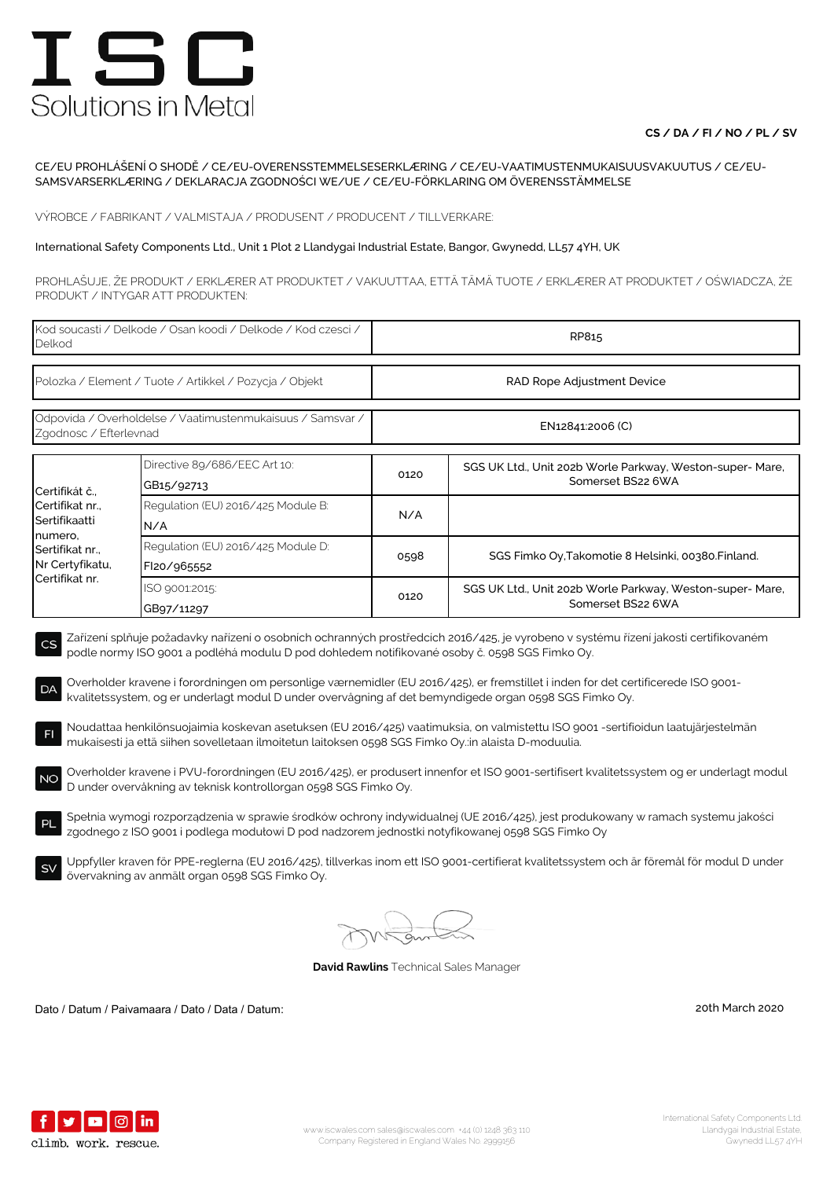## **CS / DA / FI / NO / PL / SV**

### CE/EU PROHLÁŠENÍ O SHODĚ / CE/EU-OVERENSSTEMMELSESERKLÆRING / CE/EU-VAATIMUSTENMUKAISUUSVAKUUTUS / CE/EU-SAMSVARSERKLÆRING / DEKLARACJA ZGODNOŚCI WE/UE / CE/EU-FÖRKLARING OM ÖVERENSSTÄMMELSE

VÝROBCE / FABRIKANT / VALMISTAJA / PRODUSENT / PRODUCENT / TILLVERKARE:

#### International Safety Components Ltd., Unit 1 Plot 2 Llandygai Industrial Estate, Bangor, Gwynedd, LL57 4YH, UK

PROHLAŠUJE, ŽE PRODUKT / ERKLÆRER AT PRODUKTET / VAKUUTTAA, ETTÄ TÄMÄ TUOTE / ERKLÆRER AT PRODUKTET / OŚWIADCZA, ŻE PRODUKT / INTYGAR ATT PRODUKTEN:

| Kod soucasti / Delkode / Osan koodi / Delkode / Kod czesci /<br>Delkod                                                                                                                                                                                                                                                           |                                                                                                                                                                                                         | RP815                      |                                                                                                                                                                                                                                                                                                                                                                                                                |  |
|----------------------------------------------------------------------------------------------------------------------------------------------------------------------------------------------------------------------------------------------------------------------------------------------------------------------------------|---------------------------------------------------------------------------------------------------------------------------------------------------------------------------------------------------------|----------------------------|----------------------------------------------------------------------------------------------------------------------------------------------------------------------------------------------------------------------------------------------------------------------------------------------------------------------------------------------------------------------------------------------------------------|--|
| Polozka / Element / Tuote / Artikkel / Pozycja / Objekt                                                                                                                                                                                                                                                                          |                                                                                                                                                                                                         | RAD Rope Adjustment Device |                                                                                                                                                                                                                                                                                                                                                                                                                |  |
| Odpovida / Overholdelse / Vaatimustenmukaisuus / Samsvar /<br>Zgodnosc / Efterlevnad                                                                                                                                                                                                                                             |                                                                                                                                                                                                         | EN12841:2006 (C)           |                                                                                                                                                                                                                                                                                                                                                                                                                |  |
| Certifikát č.<br>Certifikat nr.,<br>Sertifikaatti<br>numero,<br>Sertifikat nr.,<br>Nr Certyfikatu,<br>Certifikat nr.                                                                                                                                                                                                             | Directive 89/686/EEC Art 10:<br>GB15/92713                                                                                                                                                              | 0120                       | SGS UK Ltd., Unit 202b Worle Parkway, Weston-super- Mare,<br>Somerset BS22 6WA                                                                                                                                                                                                                                                                                                                                 |  |
|                                                                                                                                                                                                                                                                                                                                  | Regulation (EU) 2016/425 Module B:<br>N/A                                                                                                                                                               | N/A                        |                                                                                                                                                                                                                                                                                                                                                                                                                |  |
|                                                                                                                                                                                                                                                                                                                                  | Regulation (EU) 2016/425 Module D:<br>FI20/965552                                                                                                                                                       | 0598                       | SGS Fimko Oy, Takomotie 8 Helsinki, 00380. Finland.                                                                                                                                                                                                                                                                                                                                                            |  |
|                                                                                                                                                                                                                                                                                                                                  | ISO 9001:2015:<br>GB97/11297                                                                                                                                                                            | 0120                       | SGS UK Ltd., Unit 202b Worle Parkway, Weston-super- Mare,<br>Somerset BS22 6WA                                                                                                                                                                                                                                                                                                                                 |  |
| CS<br>DA<br>F <sub>1</sub>                                                                                                                                                                                                                                                                                                       | podle normy ISO 9001 a podléhá modulu D pod dohledem notifikované osoby č. 0598 SGS Fimko Oy.<br>kvalitetssystem, og er underlagt modul D under overvågning af det bemyndigede organ 0598 SGS Fimko Oy. |                            | Zařízení splňuje požadavky nařízení o osobních ochranných prostředcích 2016/425, je vyrobeno v systému řízení jakosti certifikovaném<br>Overholder kravene i forordningen om personlige værnemidler (EU 2016/425), er fremstillet i inden for det certificerede ISO 9001-<br>Noudattaa henkilönsuojaimia koskevan asetuksen (EU 2016/425) vaatimuksia, on valmistettu ISO 9001 -sertifioidun laatujärjestelmän |  |
| mukaisesti ja että siihen sovelletaan ilmoitetun laitoksen 0598 SGS Fimko Oy.:in alaista D-moduulia.<br>Overholder kravene i PVU-forordningen (EU 2016/425), er produsert innenfor et ISO 9001-sertifisert kvalitetssystem og er underlagt modul<br><b>NO</b><br>D under overvåkning av teknisk kontrollorgan 0598 SGS Fimko Oy. |                                                                                                                                                                                                         |                            |                                                                                                                                                                                                                                                                                                                                                                                                                |  |
| Spełnia wymogi rozporządzenia w sprawie środków ochrony indywidualnej (UE 2016/425), jest produkowany w ramach systemu jakości<br>PL<br>zgodnego z ISO 9001 i podlega modułowi D pod nadzorem jednostki notyfikowanej 0598 SGS Fimko Oy                                                                                          |                                                                                                                                                                                                         |                            |                                                                                                                                                                                                                                                                                                                                                                                                                |  |
| <b>SV</b>                                                                                                                                                                                                                                                                                                                        | övervakning av anmält organ 0598 SGS Fimko Oy.                                                                                                                                                          |                            | Uppfyller kraven för PPE-reglerna (EU 2016/425), tillverkas inom ett ISO 9001-certifierat kvalitetssystem och är föremål för modul D under                                                                                                                                                                                                                                                                     |  |

**David Rawlins** Technical Sales Manager

Dato / Datum / Paivamaara / Dato / Data / Datum: 20th March 2020

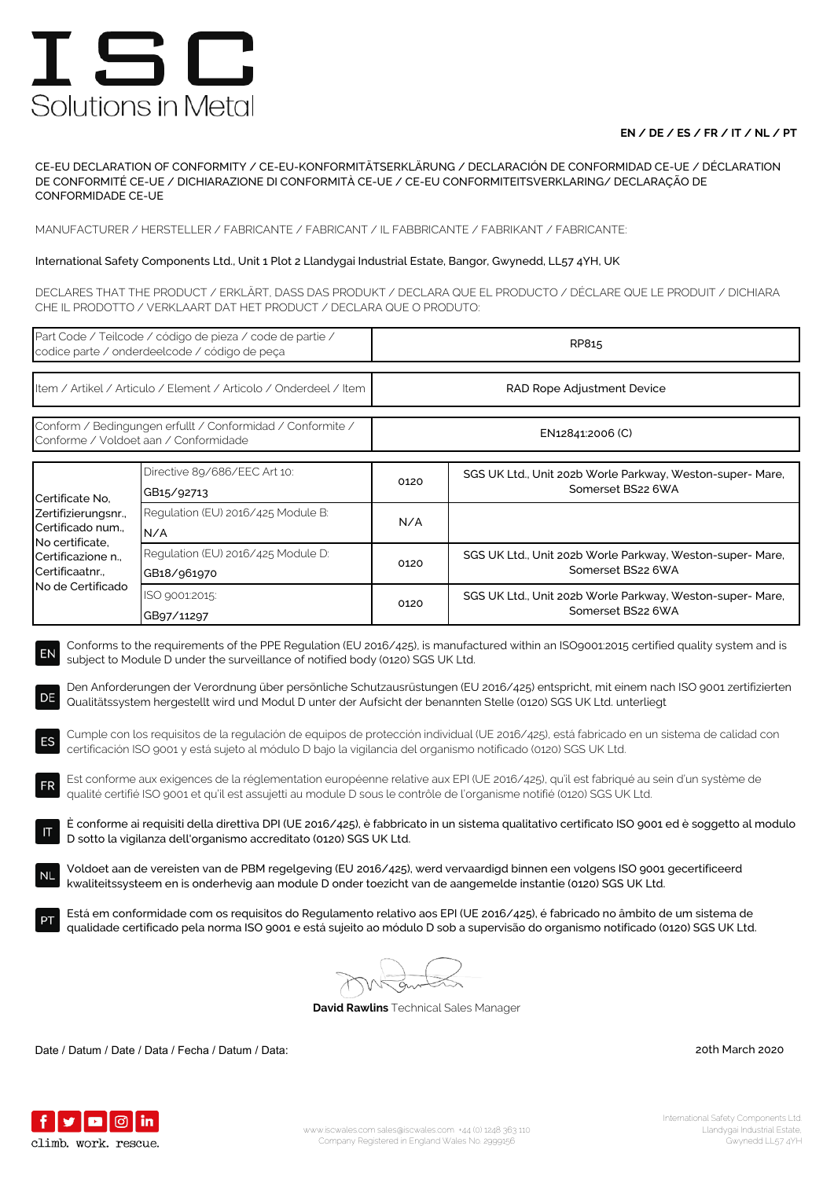## **EN / DE / ES / FR / IT / NL / PT**

CE-EU DECLARATION OF CONFORMITY / CE-EU-KONFORMITÄTSERKLÄRUNG / DECLARACIÓN DE CONFORMIDAD CE-UE / DÉCLARATION DE CONFORMITÉ CE-UE / DICHIARAZIONE DI CONFORMITÀ CE-UE / CE-EU CONFORMITEITSVERKLARING/ DECLARAÇÃO DE CONFORMIDADE CE-UE

MANUFACTURER / HERSTELLER / FABRICANTE / FABRICANT / IL FABBRICANTE / FABRIKANT / FABRICANTE:

### International Safety Components Ltd., Unit 1 Plot 2 Llandygai Industrial Estate, Bangor, Gwynedd, LL57 4YH, UK

DECLARES THAT THE PRODUCT / ERKLÄRT, DASS DAS PRODUKT / DECLARA QUE EL PRODUCTO / DÉCLARE QUE LE PRODUIT / DICHIARA CHE IL PRODOTTO / VERKLAART DAT HET PRODUCT / DECLARA QUE O PRODUTO:

| Part Code / Teilcode / código de pieza / code de partie /<br>codice parte / onderdeelcode / código de peça                                                                                                                                                                                                                                                                                                                                                                                                                                                                                                                                                                                                                                                                                                                                                                                                                                                                                                                                                   |                                                   | RP815                      |                                                                                |  |  |
|--------------------------------------------------------------------------------------------------------------------------------------------------------------------------------------------------------------------------------------------------------------------------------------------------------------------------------------------------------------------------------------------------------------------------------------------------------------------------------------------------------------------------------------------------------------------------------------------------------------------------------------------------------------------------------------------------------------------------------------------------------------------------------------------------------------------------------------------------------------------------------------------------------------------------------------------------------------------------------------------------------------------------------------------------------------|---------------------------------------------------|----------------------------|--------------------------------------------------------------------------------|--|--|
| Item / Artikel / Articulo / Element / Articolo / Onderdeel / Item                                                                                                                                                                                                                                                                                                                                                                                                                                                                                                                                                                                                                                                                                                                                                                                                                                                                                                                                                                                            |                                                   | RAD Rope Adjustment Device |                                                                                |  |  |
| Conform / Bedingungen erfullt / Conformidad / Conformite /<br>Conforme / Voldoet aan / Conformidade                                                                                                                                                                                                                                                                                                                                                                                                                                                                                                                                                                                                                                                                                                                                                                                                                                                                                                                                                          |                                                   | EN12841:2006 (C)           |                                                                                |  |  |
| Certificate No.<br>Zertifizierungsnr.,<br>Certificado num.,<br>No certificate,<br>Certificazione n.,<br>Certificaatnr<br>No de Certificado                                                                                                                                                                                                                                                                                                                                                                                                                                                                                                                                                                                                                                                                                                                                                                                                                                                                                                                   | Directive 89/686/EEC Art 10:<br>GB15/92713        | 0120                       | SGS UK Ltd., Unit 202b Worle Parkway, Weston-super- Mare,<br>Somerset BS22 6WA |  |  |
|                                                                                                                                                                                                                                                                                                                                                                                                                                                                                                                                                                                                                                                                                                                                                                                                                                                                                                                                                                                                                                                              | Regulation (EU) 2016/425 Module B:<br>N/A         | N/A                        |                                                                                |  |  |
|                                                                                                                                                                                                                                                                                                                                                                                                                                                                                                                                                                                                                                                                                                                                                                                                                                                                                                                                                                                                                                                              | Regulation (EU) 2016/425 Module D:<br>GB18/961970 | 0120                       | SGS UK Ltd., Unit 202b Worle Parkway, Weston-super- Mare,<br>Somerset BS22 6WA |  |  |
|                                                                                                                                                                                                                                                                                                                                                                                                                                                                                                                                                                                                                                                                                                                                                                                                                                                                                                                                                                                                                                                              | ISO 9001:2015:<br>GB97/11297                      | 0120                       | SGS UK Ltd., Unit 202b Worle Parkway, Weston-super- Mare,<br>Somerset BS22 6WA |  |  |
| subject to Module D under the surveillance of notified body (0120) SGS UK Ltd.<br>Den Anforderungen der Verordnung über persönliche Schutzausrüstungen (EU 2016/425) entspricht, mit einem nach ISO 9001 zertifizierten<br>DE<br>Qualitätssystem hergestellt wird und Modul D unter der Aufsicht der benannten Stelle (0120) SGS UK Ltd. unterliegt<br>Cumple con los requisitos de la regulación de equipos de protección individual (UE 2016/425), está fabricado en un sistema de calidad con<br>ES<br>certificación ISO 9001 y está sujeto al módulo D bajo la vigilancia del organismo notificado (0120) SGS UK Ltd.<br>Est conforme aux exigences de la réglementation européenne relative aux EPI (UE 2016/425), qu'il est fabriqué au sein d'un système de<br><b>FR</b><br>qualité certifié ISO 9001 et qu'il est assujetti au module D sous le contrôle de l'organisme notifié (0120) SGS UK Ltd.<br>È conforme ai requisiti della direttiva DPI (UE 2016/425), è fabbricato in un sistema qualitativo certificato ISO 9001 ed è soggetto al modulo |                                                   |                            |                                                                                |  |  |
| D sotto la vigilanza dell'organismo accreditato (0120) SGS UK Ltd.<br>Voldoet aan de vereisten van de PBM regelgeving (EU 2016/425), werd vervaardigd binnen een volgens ISO 9001 gecertificeerd<br><b>NL</b>                                                                                                                                                                                                                                                                                                                                                                                                                                                                                                                                                                                                                                                                                                                                                                                                                                                |                                                   |                            |                                                                                |  |  |
| kwaliteitssysteem en is onderhevig aan module D onder toezicht van de aangemelde instantie (0120) SGS UK Ltd.<br>Está em conformidade com os requisitos do Regulamento relativo aos EPI (UE 2016/425), é fabricado no âmbito de um sistema de<br>qualidade certificado pela norma ISO 9001 e está sujeito ao módulo D sob a supervisão do organismo notificado (0120) SGS UK Ltd.                                                                                                                                                                                                                                                                                                                                                                                                                                                                                                                                                                                                                                                                            |                                                   |                            |                                                                                |  |  |
| <b>David Rawlins</b> Technical Sales Manager                                                                                                                                                                                                                                                                                                                                                                                                                                                                                                                                                                                                                                                                                                                                                                                                                                                                                                                                                                                                                 |                                                   |                            |                                                                                |  |  |

Date / Datum / Date / Data / Fecha / Datum / Data: 20th March 2020